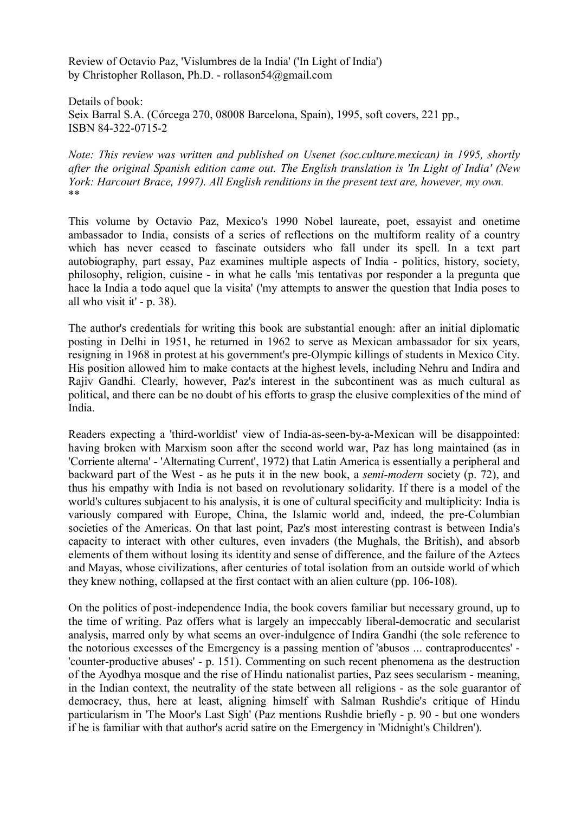Review of Octavio Paz, 'Vislumbres de la India' ('In Light of India') by Christopher Rollason, Ph.D. - rollason54@gmail.com

Details of book: Seix Barral S.A. (Córcega 270, 08008 Barcelona, Spain), 1995, soft covers, 221 pp., ISBN 84-322-0715-2

*Note: This review was written and published on Usenet (soc.culture.mexican) in 1995, shortly after the original Spanish edition came out. The English translation is 'In Light of India' (New York: Harcourt Brace, 1997). All English renditions in the present text are, however, my own.* \*\*

This volume by Octavio Paz, Mexico's 1990 Nobel laureate, poet, essayist and onetime ambassador to India, consists of a series of reflections on the multiform reality of a country which has never ceased to fascinate outsiders who fall under its spell. In a text part autobiography, part essay, Paz examines multiple aspects of India - politics, history, society, philosophy, religion, cuisine - in what he calls 'mis tentativas por responder a la pregunta que hace la India a todo aquel que la visita' ('my attempts to answer the question that India poses to all who visit it' - p. 38).

The author's credentials for writing this book are substantial enough: after an initial diplomatic posting in Delhi in 1951, he returned in 1962 to serve as Mexican ambassador for six years, resigning in 1968 in protest at his government's pre-Olympic killings of students in Mexico City. His position allowed him to make contacts at the highest levels, including Nehru and Indira and Rajiv Gandhi. Clearly, however, Paz's interest in the subcontinent was as much cultural as political, and there can be no doubt of his efforts to grasp the elusive complexities of the mind of India.

Readers expecting a 'third-worldist' view of India-as-seen-by-a-Mexican will be disappointed: having broken with Marxism soon after the second world war, Paz has long maintained (as in 'Corriente alterna' - 'Alternating Current', 1972) that Latin America is essentially a peripheral and backward part of the West - as he puts it in the new book, a *semi-modern* society (p. 72), and thus his empathy with India is not based on revolutionary solidarity. If there is a model of the world's cultures subjacent to his analysis, it is one of cultural specificity and multiplicity: India is variously compared with Europe, China, the Islamic world and, indeed, the pre-Columbian societies of the Americas. On that last point, Paz's most interesting contrast is between India's capacity to interact with other cultures, even invaders (the Mughals, the British), and absorb elements of them without losing its identity and sense of difference, and the failure of the Aztecs and Mayas, whose civilizations, after centuries of total isolation from an outside world of which they knew nothing, collapsed at the first contact with an alien culture (pp. 106-108).

On the politics of post-independence India, the book covers familiar but necessary ground, up to the time of writing. Paz offers what is largely an impeccably liberal-democratic and secularist analysis, marred only by what seems an over-indulgence of Indira Gandhi (the sole reference to the notorious excesses of the Emergency is a passing mention of 'abusos ... contraproducentes' - 'counter-productive abuses' - p. 151). Commenting on such recent phenomena as the destruction of the Ayodhya mosque and the rise of Hindu nationalist parties, Paz sees secularism - meaning, in the Indian context, the neutrality of the state between all religions - as the sole guarantor of democracy, thus, here at least, aligning himself with Salman Rushdie's critique of Hindu particularism in 'The Moor's Last Sigh' (Paz mentions Rushdie briefly - p. 90 - but one wonders if he is familiar with that author's acrid satire on the Emergency in 'Midnight's Children').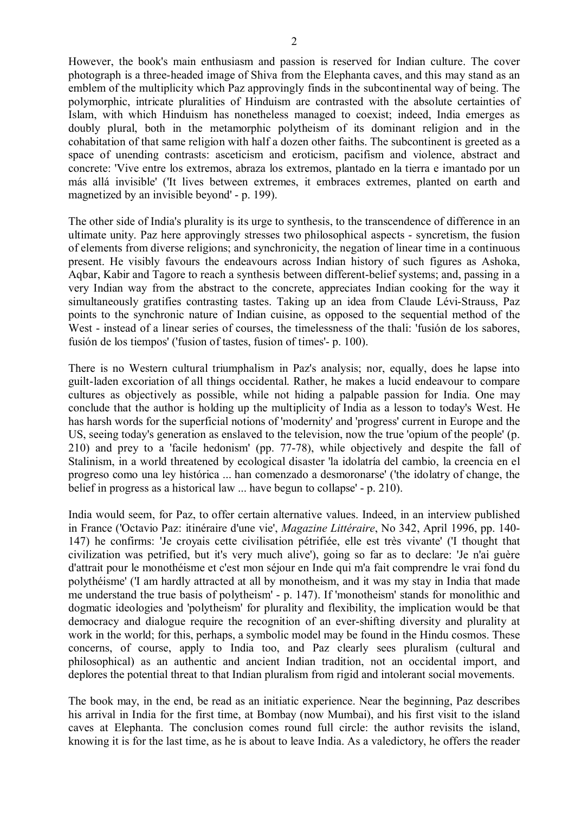However, the book's main enthusiasm and passion is reserved for Indian culture. The cover photograph is a three-headed image of Shiva from the Elephanta caves, and this may stand as an emblem of the multiplicity which Paz approvingly finds in the subcontinental way of being. The polymorphic, intricate pluralities of Hinduism are contrasted with the absolute certainties of Islam, with which Hinduism has nonetheless managed to coexist; indeed, India emerges as doubly plural, both in the metamorphic polytheism of its dominant religion and in the cohabitation of that same religion with half a dozen other faiths. The subcontinent is greeted as a space of unending contrasts: asceticism and eroticism, pacifism and violence, abstract and concrete: 'Vive entre los extremos, abraza los extremos, plantado en la tierra e imantado por un más allá invisible' ('It lives between extremes, it embraces extremes, planted on earth and magnetized by an invisible beyond' - p. 199).

The other side of India's plurality is its urge to synthesis, to the transcendence of difference in an ultimate unity. Paz here approvingly stresses two philosophical aspects - syncretism, the fusion of elements from diverse religions; and synchronicity, the negation of linear time in a continuous present. He visibly favours the endeavours across Indian history of such figures as Ashoka, Aqbar, Kabir and Tagore to reach a synthesis between different-belief systems; and, passing in a very Indian way from the abstract to the concrete, appreciates Indian cooking for the way it simultaneously gratifies contrasting tastes. Taking up an idea from Claude Lévi-Strauss, Paz points to the synchronic nature of Indian cuisine, as opposed to the sequential method of the West - instead of a linear series of courses, the timelessness of the thali: 'fusión de los sabores, fusión de los tiempos' ('fusion of tastes, fusion of times'- p. 100).

There is no Western cultural triumphalism in Paz's analysis; nor, equally, does he lapse into guilt-laden excoriation of all things occidental. Rather, he makes a lucid endeavour to compare cultures as objectively as possible, while not hiding a palpable passion for India. One may conclude that the author is holding up the multiplicity of India as a lesson to today's West. He has harsh words for the superficial notions of 'modernity' and 'progress' current in Europe and the US, seeing today's generation as enslaved to the television, now the true 'opium of the people' (p. 210) and prey to a 'facile hedonism' (pp. 77-78), while objectively and despite the fall of Stalinism, in a world threatened by ecological disaster 'la idolatría del cambio, la creencia en el progreso como una ley histórica ... han comenzado a desmoronarse' ('the idolatry of change, the belief in progress as a historical law ... have begun to collapse' - p. 210).

India would seem, for Paz, to offer certain alternative values. Indeed, in an interview published in France ('Octavio Paz: itinéraire d'une vie', *Magazine Littéraire*, No 342, April 1996, pp. 140- 147) he confirms: 'Je croyais cette civilisation pétrifiée, elle est très vivante' ('I thought that civilization was petrified, but it's very much alive'), going so far as to declare: 'Je n'ai guère d'attrait pour le monothéisme et c'est mon séjour en Inde qui m'a fait comprendre le vrai fond du polythéisme' ('I am hardly attracted at all by monotheism, and it was my stay in India that made me understand the true basis of polytheism' - p. 147). If 'monotheism' stands for monolithic and dogmatic ideologies and 'polytheism' for plurality and flexibility, the implication would be that democracy and dialogue require the recognition of an ever-shifting diversity and plurality at work in the world; for this, perhaps, a symbolic model may be found in the Hindu cosmos. These concerns, of course, apply to India too, and Paz clearly sees pluralism (cultural and philosophical) as an authentic and ancient Indian tradition, not an occidental import, and deplores the potential threat to that Indian pluralism from rigid and intolerant social movements.

The book may, in the end, be read as an initiatic experience. Near the beginning, Paz describes his arrival in India for the first time, at Bombay (now Mumbai), and his first visit to the island caves at Elephanta. The conclusion comes round full circle: the author revisits the island, knowing it is for the last time, as he is about to leave India. As a valedictory, he offers the reader